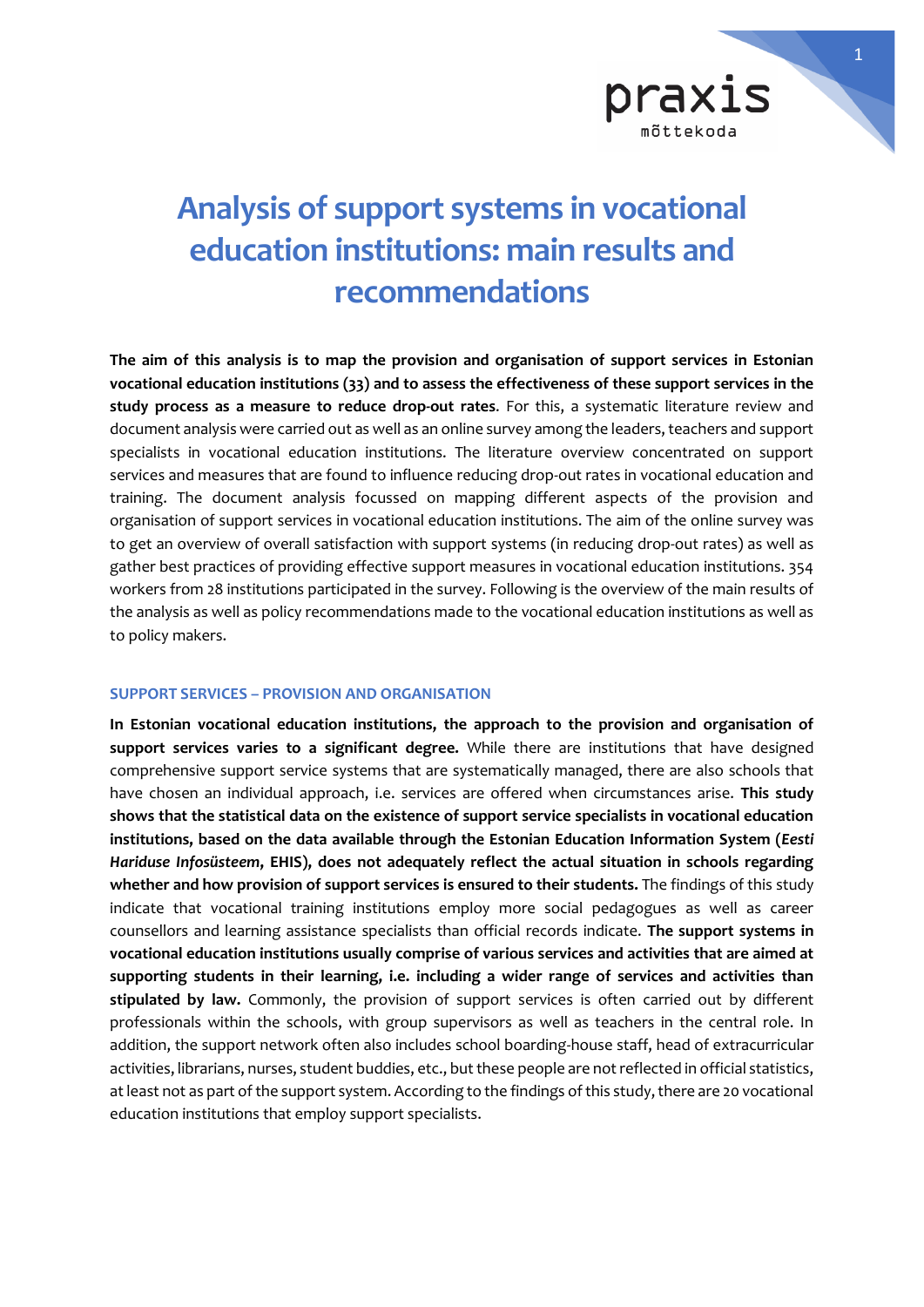

# **Analysis of support systems in vocational education institutions: main results and recommendations**

**The aim of this analysis is to map the provision and organisation of support services in Estonian vocational education institutions (33) and to assess the effectiveness of these support services in the study process as a measure to reduce drop-out rates**. For this, a systematic literature review and document analysis were carried out as well as an online survey among the leaders, teachers and support specialists in vocational education institutions. The literature overview concentrated on support services and measures that are found to influence reducing drop-out rates in vocational education and training. The document analysis focussed on mapping different aspects of the provision and organisation of support services in vocational education institutions. The aim of the online survey was to get an overview of overall satisfaction with support systems (in reducing drop-out rates) as well as gather best practices of providing effective support measures in vocational education institutions. 354 workers from 28 institutions participated in the survey. Following is the overview of the main results of the analysis as well as policy recommendations made to the vocational education institutions as well as to policy makers.

### **SUPPORT SERVICES – PROVISION AND ORGANISATION**

**In Estonian vocational education institutions, the approach to the provision and organisation of support services varies to a significant degree.** While there are institutions that have designed comprehensive support service systems that are systematically managed, there are also schools that have chosen an individual approach, i.e. services are offered when circumstances arise. **This study shows that the statistical data on the existence of support service specialists in vocational education institutions, based on the data available through the Estonian Education Information System (***Eesti Hariduse Infosüsteem***, EHIS), does not adequately reflect the actual situation in schools regarding whether and how provision of support services is ensured to their students.** The findings of this study indicate that vocational training institutions employ more social pedagogues as well as career counsellors and learning assistance specialists than official records indicate. **The support systems in vocational education institutions usually comprise of various services and activities that are aimed at supporting students in their learning, i.e. including a wider range of services and activities than stipulated by law.** Commonly, the provision of support services is often carried out by different professionals within the schools, with group supervisors as well as teachers in the central role. In addition, the support network often also includes school boarding-house staff, head of extracurricular activities, librarians, nurses, student buddies, etc., but these people are not reflected in official statistics, at least not as part of the support system. According to the findings of this study, there are 20 vocational education institutions that employ support specialists.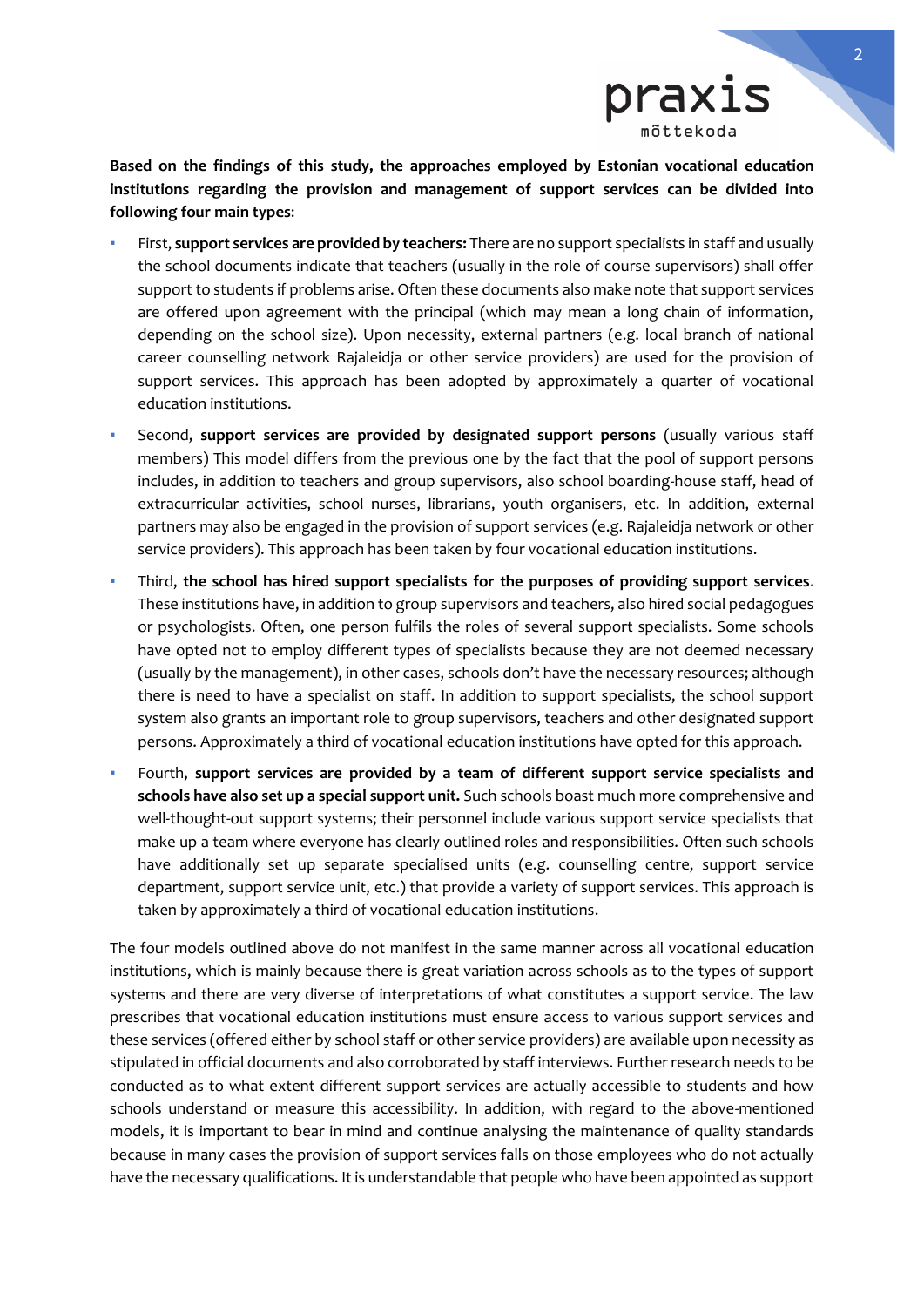

**Based on the findings of this study, the approaches employed by Estonian vocational education institutions regarding the provision and management of support services can be divided into following four main types**:

- First, **support services are provided by teachers:** There are no support specialists in staff and usually the school documents indicate that teachers (usually in the role of course supervisors) shall offer support to students if problems arise. Often these documents also make note that support services are offered upon agreement with the principal (which may mean a long chain of information, depending on the school size). Upon necessity, external partners (e.g. local branch of national career counselling network Rajaleidja or other service providers) are used for the provision of support services. This approach has been adopted by approximately a quarter of vocational education institutions.
- Second, support services are provided by designated support persons (usually various staff members) This model differs from the previous one by the fact that the pool of support persons includes, in addition to teachers and group supervisors, also school boarding-house staff, head of extracurricular activities, school nurses, librarians, youth organisers, etc. In addition, external partners may also be engaged in the provision of support services (e.g. Rajaleidja network or other service providers). This approach has been taken by four vocational education institutions.
- Third, **the school has hired support specialists for the purposes of providing support services**. These institutions have, in addition to group supervisors and teachers, also hired social pedagogues or psychologists. Often, one person fulfils the roles of several support specialists. Some schools have opted not to employ different types of specialists because they are not deemed necessary (usually by the management), in other cases, schools don't have the necessary resources; although there is need to have a specialist on staff. In addition to support specialists, the school support system also grants an important role to group supervisors, teachers and other designated support persons. Approximately a third of vocational education institutions have opted for this approach.
- Fourth, **support services are provided by a team of different support service specialists and schools have also set up a special support unit.** Such schools boast much more comprehensive and well-thought-out support systems; their personnel include various support service specialists that make up a team where everyone has clearly outlined roles and responsibilities. Often such schools have additionally set up separate specialised units (e.g. counselling centre, support service department, support service unit, etc.) that provide a variety of support services. This approach is taken by approximately a third of vocational education institutions.

The four models outlined above do not manifest in the same manner across all vocational education institutions, which is mainly because there is great variation across schools as to the types of support systems and there are very diverse of interpretations of what constitutes a support service. The law prescribes that vocational education institutions must ensure access to various support services and these services (offered either by school staff or other service providers) are available upon necessity as stipulated in official documents and also corroborated by staff interviews. Further research needs to be conducted as to what extent different support services are actually accessible to students and how schools understand or measure this accessibility. In addition, with regard to the above-mentioned models, it is important to bear in mind and continue analysing the maintenance of quality standards because in many cases the provision of support services falls on those employees who do not actually have the necessary qualifications. It is understandable that people who have been appointed as support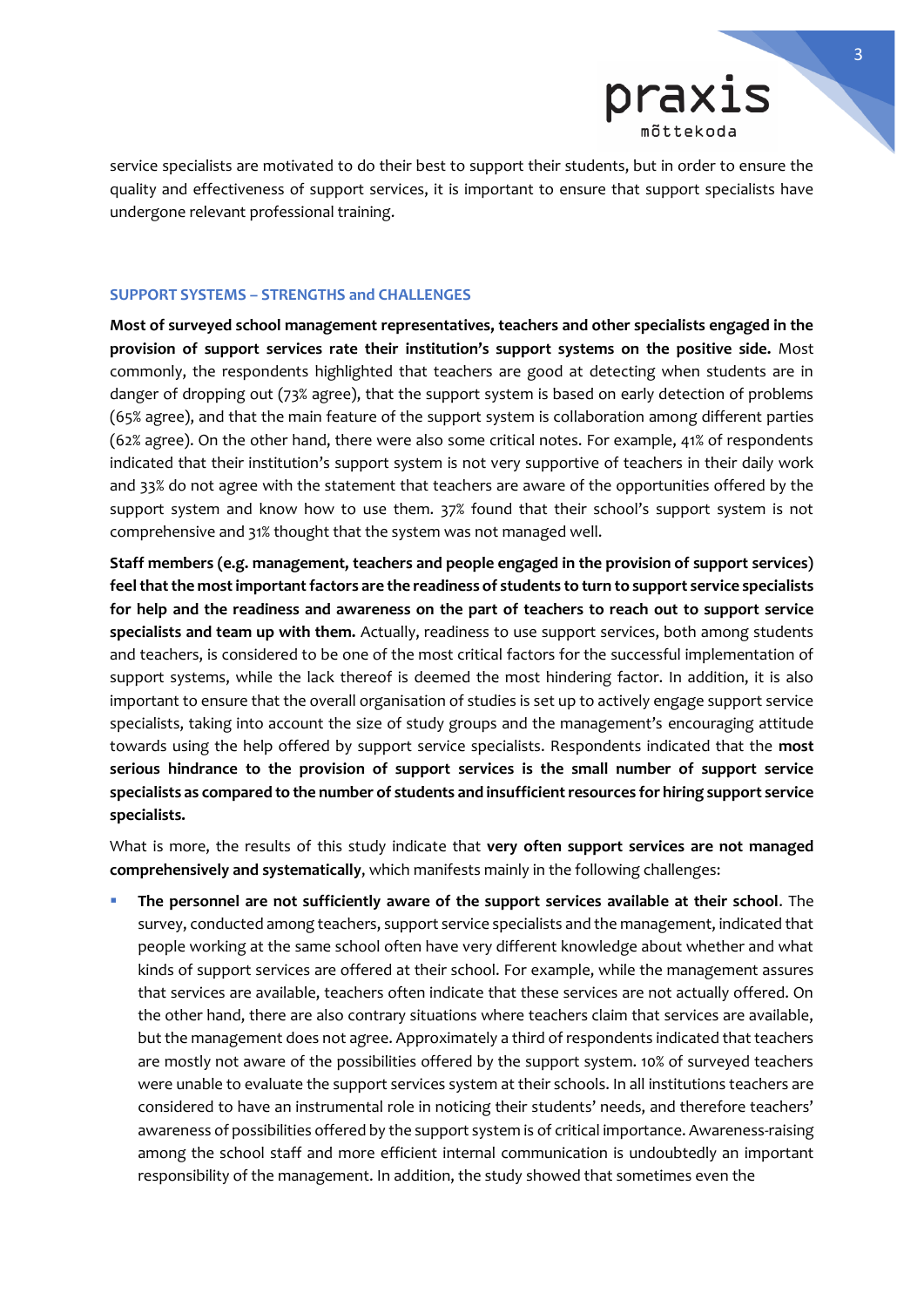

service specialists are motivated to do their best to support their students, but in order to ensure the quality and effectiveness of support services, it is important to ensure that support specialists have undergone relevant professional training.

#### **SUPPORT SYSTEMS – STRENGTHS and CHALLENGES**

**Most of surveyed school management representatives, teachers and other specialists engaged in the provision of support services rate their institution's support systems on the positive side.** Most commonly, the respondents highlighted that teachers are good at detecting when students are in danger of dropping out (73% agree), that the support system is based on early detection of problems (65% agree), and that the main feature of the support system is collaboration among different parties (62% agree). On the other hand, there were also some critical notes. For example, 41% of respondents indicated that their institution's support system is not very supportive of teachers in their daily work and 33% do not agree with the statement that teachers are aware of the opportunities offered by the support system and know how to use them. 37% found that their school's support system is not comprehensive and 31% thought that the system was not managed well.

**Staff members (e.g. management, teachers and people engaged in the provision of support services) feel that the most important factors are the readiness of students to turn to support service specialists for help and the readiness and awareness on the part of teachers to reach out to support service specialists and team up with them.** Actually, readiness to use support services, both among students and teachers, is considered to be one of the most critical factors for the successful implementation of support systems, while the lack thereof is deemed the most hindering factor. In addition, it is also important to ensure that the overall organisation of studies is set up to actively engage support service specialists, taking into account the size of study groups and the management's encouraging attitude towards using the help offered by support service specialists. Respondents indicated that the **most serious hindrance to the provision of support services is the small number of support service specialists as compared to the number of students and insufficient resources for hiring support service specialists.**

What is more, the results of this study indicate that **very often support services are not managed comprehensively and systematically**, which manifests mainly in the following challenges:

▪ **The personnel are not sufficiently aware of the support services available at their school**. The survey, conducted among teachers, support service specialists and the management, indicated that people working at the same school often have very different knowledge about whether and what kinds of support services are offered at their school. For example, while the management assures that services are available, teachers often indicate that these services are not actually offered. On the other hand, there are also contrary situations where teachers claim that services are available, but the management does not agree. Approximately a third of respondents indicated that teachers are mostly not aware of the possibilities offered by the support system. 10% of surveyed teachers were unable to evaluate the support services system at their schools. In all institutions teachers are considered to have an instrumental role in noticing their students' needs, and therefore teachers' awareness of possibilities offered by the support system is of critical importance. Awareness-raising among the school staff and more efficient internal communication is undoubtedly an important responsibility of the management. In addition, the study showed that sometimes even the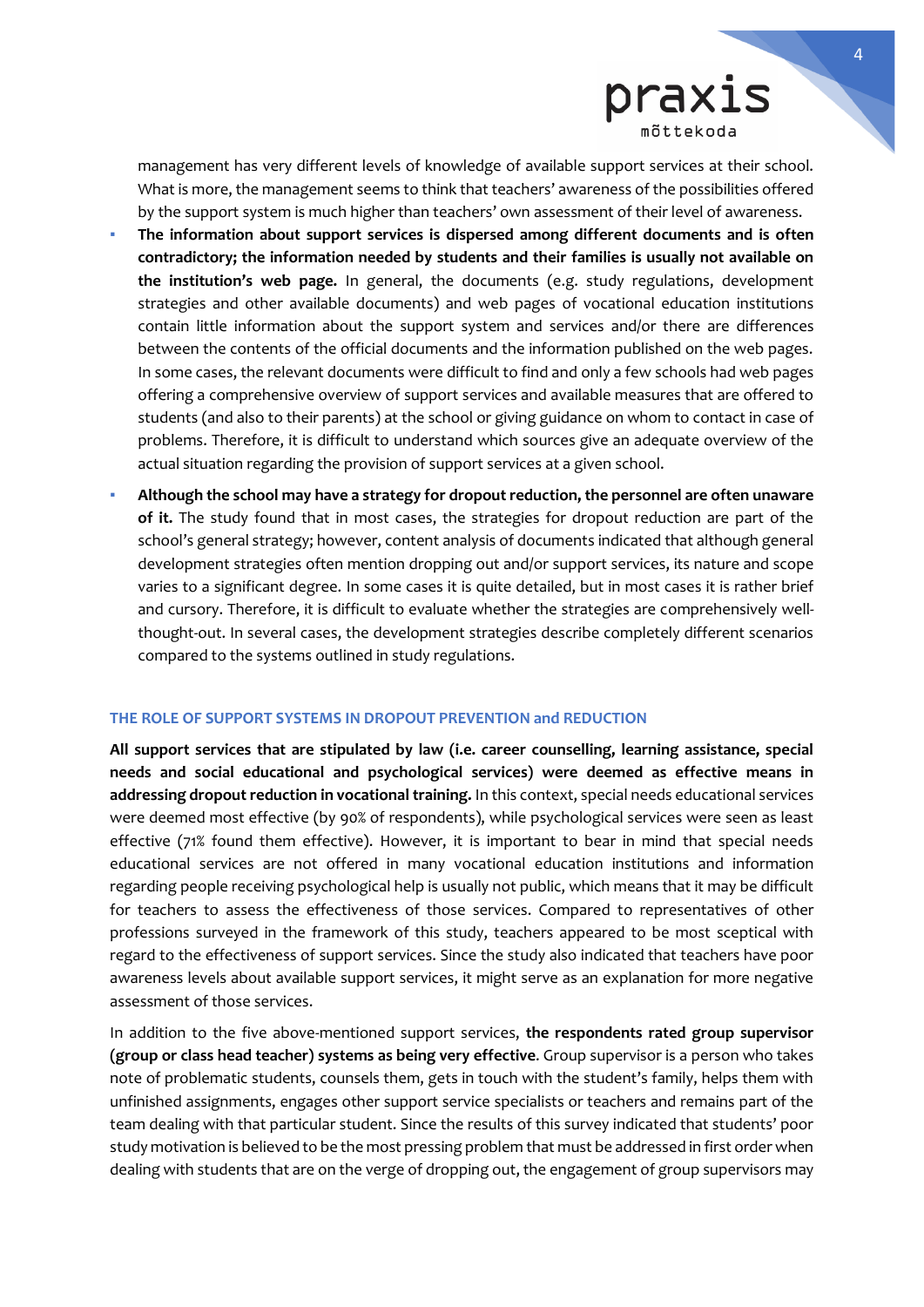

management has very different levels of knowledge of available support services at their school. What is more, the management seems to think that teachers' awareness of the possibilities offered by the support system is much higher than teachers' own assessment of their level of awareness.

- The information about support services is dispersed among different documents and is often **contradictory; the information needed by students and their families is usually not available on the institution's web page.** In general, the documents (e.g. study regulations, development strategies and other available documents) and web pages of vocational education institutions contain little information about the support system and services and/or there are differences between the contents of the official documents and the information published on the web pages. In some cases, the relevant documents were difficult to find and only a few schools had web pages offering a comprehensive overview of support services and available measures that are offered to students (and also to their parents) at the school or giving guidance on whom to contact in case of problems. Therefore, it is difficult to understand which sources give an adequate overview of the actual situation regarding the provision of support services at a given school.
- **Although the school may have a strategy for dropout reduction, the personnel are often unaware of it.** The study found that in most cases, the strategies for dropout reduction are part of the school's general strategy; however, content analysis of documents indicated that although general development strategies often mention dropping out and/or support services, its nature and scope varies to a significant degree. In some cases it is quite detailed, but in most cases it is rather brief and cursory. Therefore, it is difficult to evaluate whether the strategies are comprehensively wellthought-out. In several cases, the development strategies describe completely different scenarios compared to the systems outlined in study regulations.

#### **THE ROLE OF SUPPORT SYSTEMS IN DROPOUT PREVENTION and REDUCTION**

**All support services that are stipulated by law (i.e. career counselling, learning assistance, special needs and social educational and psychological services) were deemed as effective means in addressing dropout reduction in vocational training.** In this context, special needs educational services were deemed most effective (by 90% of respondents), while psychological services were seen as least effective (71% found them effective). However, it is important to bear in mind that special needs educational services are not offered in many vocational education institutions and information regarding people receiving psychological help is usually not public, which means that it may be difficult for teachers to assess the effectiveness of those services. Compared to representatives of other professions surveyed in the framework of this study, teachers appeared to be most sceptical with regard to the effectiveness of support services. Since the study also indicated that teachers have poor awareness levels about available support services, it might serve as an explanation for more negative assessment of those services.

In addition to the five above-mentioned support services, **the respondents rated group supervisor (group or class head teacher) systems as being very effective**. Group supervisor is a person who takes note of problematic students, counsels them, gets in touch with the student's family, helps them with unfinished assignments, engages other support service specialists or teachers and remains part of the team dealing with that particular student. Since the results of this survey indicated that students' poor study motivation is believed to be the most pressing problem that must be addressed in first order when dealing with students that are on the verge of dropping out, the engagement of group supervisors may

l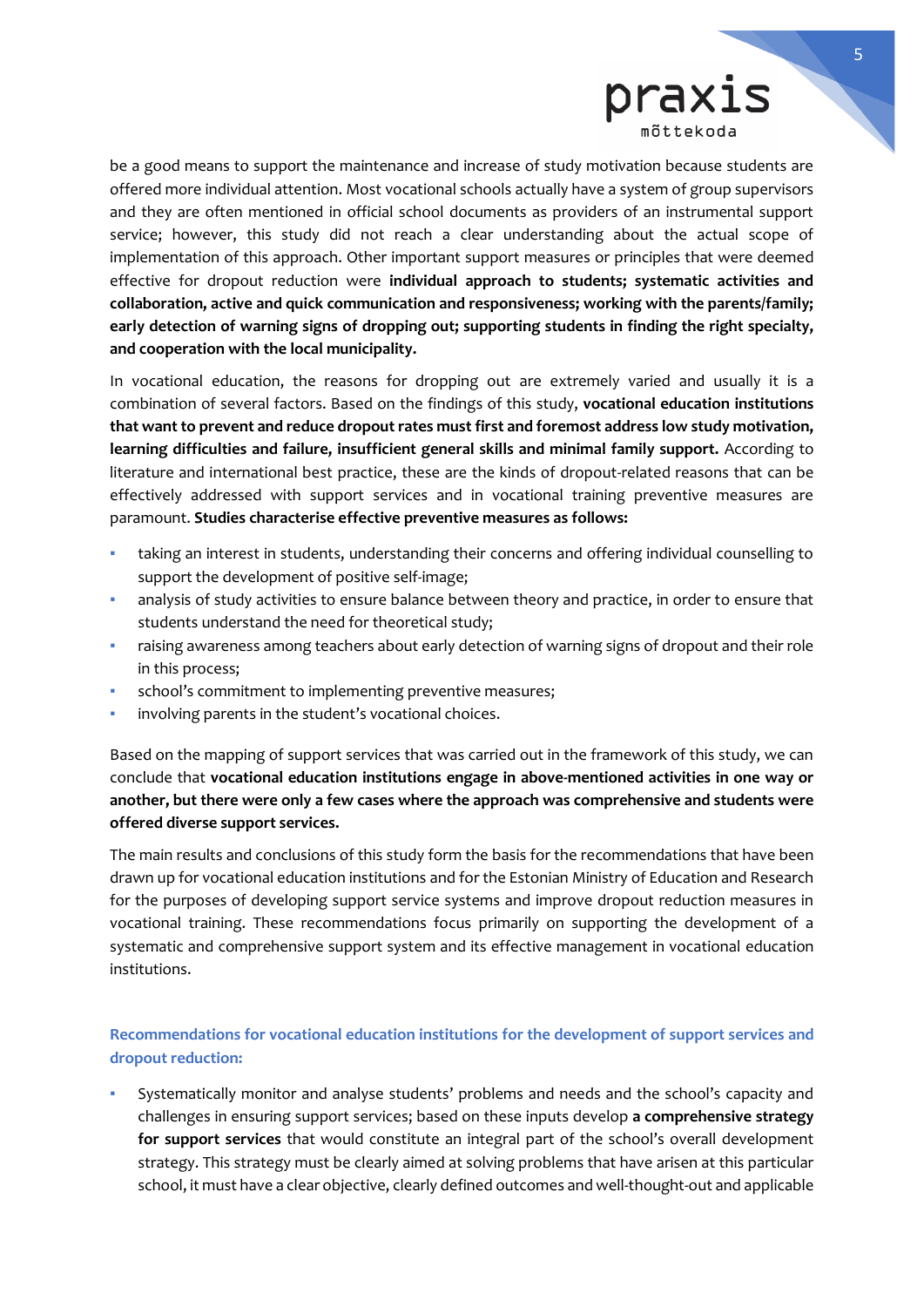

be a good means to support the maintenance and increase of study motivation because students are offered more individual attention. Most vocational schools actually have a system of group supervisors and they are often mentioned in official school documents as providers of an instrumental support service; however, this study did not reach a clear understanding about the actual scope of implementation of this approach. Other important support measures or principles that were deemed effective for dropout reduction were **individual approach to students; systematic activities and collaboration, active and quick communication and responsiveness; working with the parents/family; early detection of warning signs of dropping out; supporting students in finding the right specialty, and cooperation with the local municipality.**

In vocational education, the reasons for dropping out are extremely varied and usually it is a combination of several factors. Based on the findings of this study, **vocational education institutions that want to prevent and reduce dropout rates must first and foremost address low study motivation, learning difficulties and failure, insufficient general skills and minimal family support.** According to literature and international best practice, these are the kinds of dropout-related reasons that can be effectively addressed with support services and in vocational training preventive measures are paramount. **Studies characterise effective preventive measures as follows:**

- taking an interest in students, understanding their concerns and offering individual counselling to support the development of positive self-image;
- analysis of study activities to ensure balance between theory and practice, in order to ensure that students understand the need for theoretical study;
- raising awareness among teachers about early detection of warning signs of dropout and their role in this process;
- school's commitment to implementing preventive measures;
- involving parents in the student's vocational choices.

Based on the mapping of support services that was carried out in the framework of this study, we can conclude that **vocational education institutions engage in above-mentioned activities in one way or another, but there were only a few cases where the approach was comprehensive and students were offered diverse support services.** 

The main results and conclusions of this study form the basis for the recommendations that have been drawn up for vocational education institutions and for the Estonian Ministry of Education and Research for the purposes of developing support service systems and improve dropout reduction measures in vocational training. These recommendations focus primarily on supporting the development of a systematic and comprehensive support system and its effective management in vocational education institutions.

## **Recommendations for vocational education institutions for the development of support services and dropout reduction:**

Systematically monitor and analyse students' problems and needs and the school's capacity and challenges in ensuring support services; based on these inputs develop **a comprehensive strategy for support services** that would constitute an integral part of the school's overall development strategy. This strategy must be clearly aimed at solving problems that have arisen at this particular school, it must have a clear objective, clearly defined outcomes and well-thought-out and applicable

l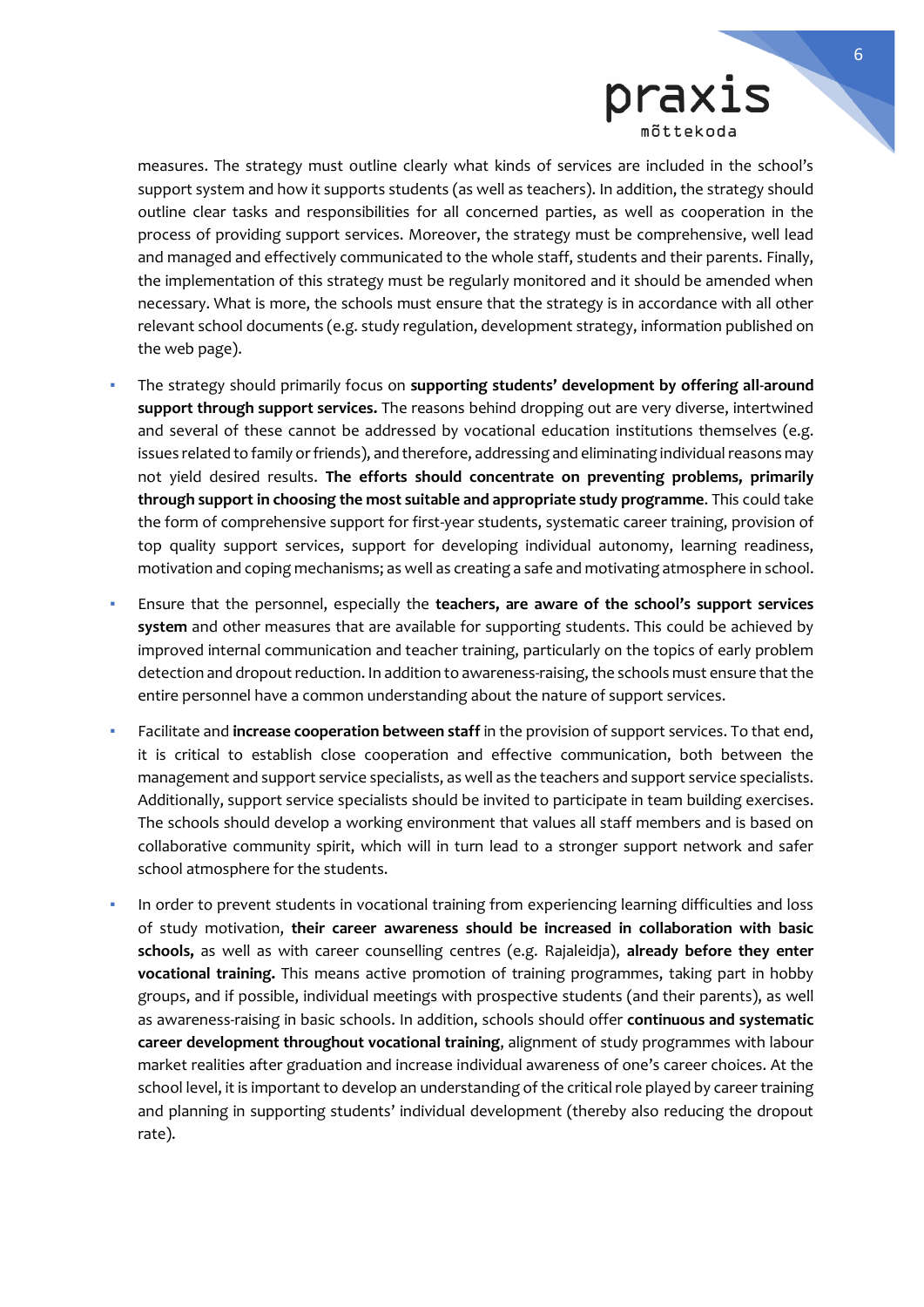

measures. The strategy must outline clearly what kinds of services are included in the school's support system and how it supports students (as well as teachers). In addition, the strategy should outline clear tasks and responsibilities for all concerned parties, as well as cooperation in the process of providing support services. Moreover, the strategy must be comprehensive, well lead and managed and effectively communicated to the whole staff, students and their parents. Finally, the implementation of this strategy must be regularly monitored and it should be amended when necessary. What is more, the schools must ensure that the strategy is in accordance with all other relevant school documents (e.g. study regulation, development strategy, information published on the web page).

- The strategy should primarily focus on **supporting students' development by offering all-around support through support services.** The reasons behind dropping out are very diverse, intertwined and several of these cannot be addressed by vocational education institutions themselves (e.g. issues related to family or friends), and therefore, addressing and eliminating individual reasons may not yield desired results. **The efforts should concentrate on preventing problems, primarily through support in choosing the most suitable and appropriate study programme**. This could take the form of comprehensive support for first-year students, systematic career training, provision of top quality support services, support for developing individual autonomy, learning readiness, motivation and coping mechanisms; as well as creating a safe and motivating atmosphere in school.
- Ensure that the personnel, especially the **teachers, are aware of the school's support services system** and other measures that are available for supporting students. This could be achieved by improved internal communication and teacher training, particularly on the topics of early problem detection and dropout reduction. In addition to awareness-raising, the schools must ensure that the entire personnel have a common understanding about the nature of support services.
- Facilitate and **increase cooperation between staff** in the provision of support services. To that end, it is critical to establish close cooperation and effective communication, both between the management and support service specialists, as well as the teachers and support service specialists. Additionally, support service specialists should be invited to participate in team building exercises. The schools should develop a working environment that values all staff members and is based on collaborative community spirit, which will in turn lead to a stronger support network and safer school atmosphere for the students.
- In order to prevent students in vocational training from experiencing learning difficulties and loss of study motivation, **their career awareness should be increased in collaboration with basic schools,** as well as with career counselling centres (e.g. Rajaleidja), **already before they enter vocational training.** This means active promotion of training programmes, taking part in hobby groups, and if possible, individual meetings with prospective students (and their parents), as well as awareness-raising in basic schools. In addition, schools should offer **continuous and systematic career development throughout vocational training**, alignment of study programmes with labour market realities after graduation and increase individual awareness of one's career choices. At the school level, it is important to develop an understanding of the critical role played by career training and planning in supporting students' individual development (thereby also reducing the dropout rate).

l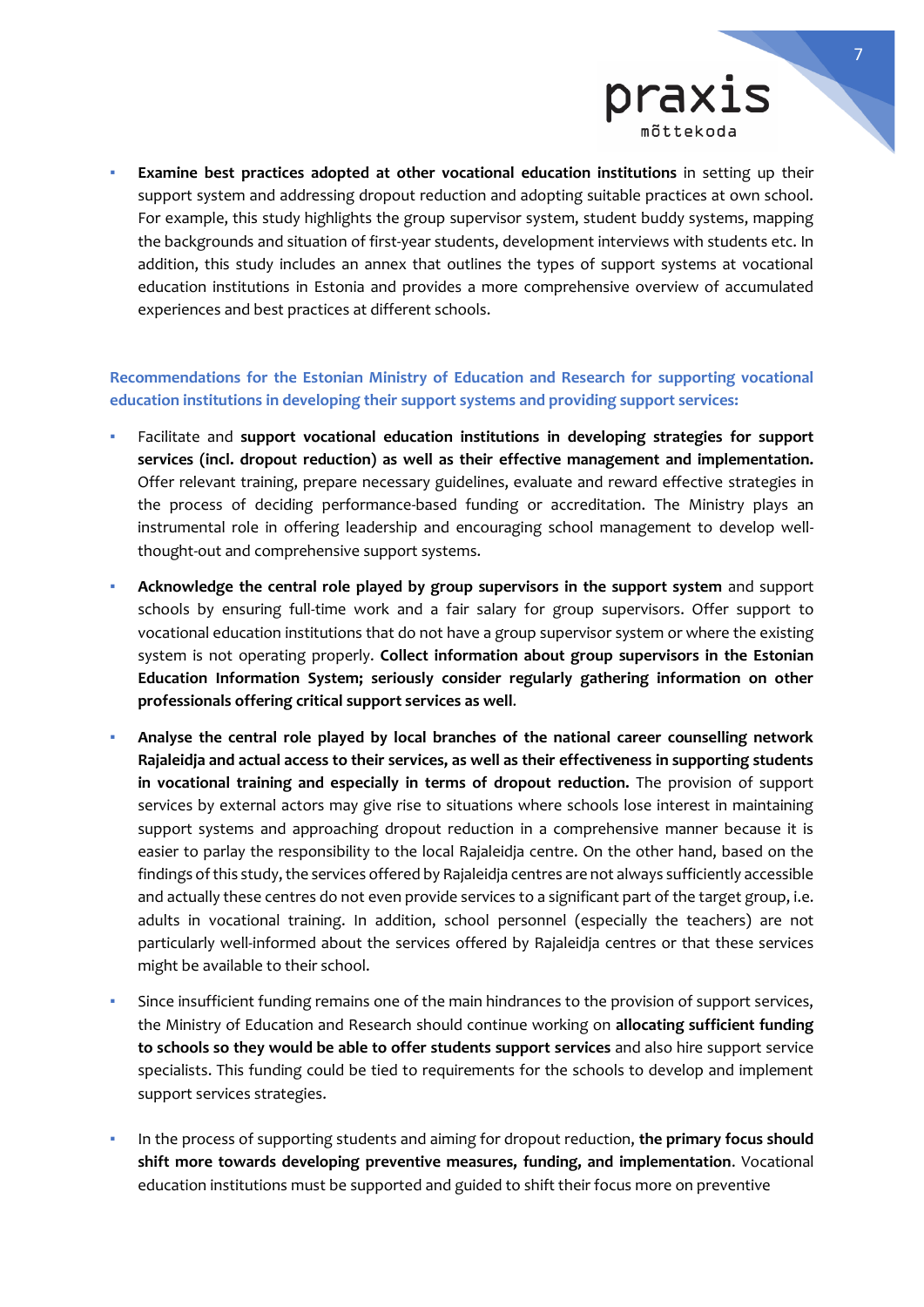

**Examine best practices adopted at other vocational education institutions** in setting up their support system and addressing dropout reduction and adopting suitable practices at own school. For example, this study highlights the group supervisor system, student buddy systems, mapping the backgrounds and situation of first-year students, development interviews with students etc. In addition, this study includes an annex that outlines the types of support systems at vocational education institutions in Estonia and provides a more comprehensive overview of accumulated experiences and best practices at different schools.

## **Recommendations for the Estonian Ministry of Education and Research for supporting vocational education institutions in developing their support systems and providing support services:**

- Facilitate and **support vocational education institutions in developing strategies for support services (incl. dropout reduction) as well as their effective management and implementation.** Offer relevant training, prepare necessary guidelines, evaluate and reward effective strategies in the process of deciding performance-based funding or accreditation. The Ministry plays an instrumental role in offering leadership and encouraging school management to develop wellthought-out and comprehensive support systems.
- **Acknowledge the central role played by group supervisors in the support system** and support schools by ensuring full-time work and a fair salary for group supervisors. Offer support to vocational education institutions that do not have a group supervisor system or where the existing system is not operating properly. **Collect information about group supervisors in the Estonian Education Information System; seriously consider regularly gathering information on other professionals offering critical support services as well**.
- **Analyse the central role played by local branches of the national career counselling network Rajaleidja and actual access to their services, as well as their effectiveness in supporting students in vocational training and especially in terms of dropout reduction.** The provision of support services by external actors may give rise to situations where schools lose interest in maintaining support systems and approaching dropout reduction in a comprehensive manner because it is easier to parlay the responsibility to the local Rajaleidja centre. On the other hand, based on the findings of this study, the services offered by Rajaleidja centres are not always sufficiently accessible and actually these centres do not even provide services to a significant part of the target group, i.e. adults in vocational training. In addition, school personnel (especially the teachers) are not particularly well-informed about the services offered by Rajaleidja centres or that these services might be available to their school.
- Since insufficient funding remains one of the main hindrances to the provision of support services, the Ministry of Education and Research should continue working on **allocating sufficient funding to schools so they would be able to offer students support services** and also hire support service specialists. This funding could be tied to requirements for the schools to develop and implement support services strategies.
- In the process of supporting students and aiming for dropout reduction, the primary focus should **shift more towards developing preventive measures, funding, and implementation**. Vocational education institutions must be supported and guided to shift their focus more on preventive